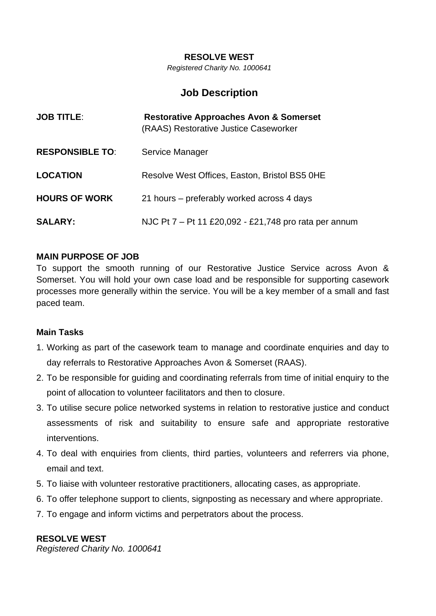#### **RESOLVE WEST**

*Registered Charity No. 1000641*

# **Job Description**

| <b>JOB TITLE:</b>      | <b>Restorative Approaches Avon &amp; Somerset</b><br>(RAAS) Restorative Justice Caseworker |
|------------------------|--------------------------------------------------------------------------------------------|
| <b>RESPONSIBLE TO:</b> | Service Manager                                                                            |
| <b>LOCATION</b>        | Resolve West Offices, Easton, Bristol BS5 0HE                                              |
| <b>HOURS OF WORK</b>   | 21 hours – preferably worked across 4 days                                                 |
| <b>SALARY:</b>         | NJC Pt 7 - Pt 11 £20,092 - £21,748 pro rata per annum                                      |

### **MAIN PURPOSE OF JOB**

To support the smooth running of our Restorative Justice Service across Avon & Somerset. You will hold your own case load and be responsible for supporting casework processes more generally within the service. You will be a key member of a small and fast paced team.

#### **Main Tasks**

- 1. Working as part of the casework team to manage and coordinate enquiries and day to day referrals to Restorative Approaches Avon & Somerset (RAAS).
- 2. To be responsible for guiding and coordinating referrals from time of initial enquiry to the point of allocation to volunteer facilitators and then to closure.
- 3. To utilise secure police networked systems in relation to restorative justice and conduct assessments of risk and suitability to ensure safe and appropriate restorative interventions.
- 4. To deal with enquiries from clients, third parties, volunteers and referrers via phone, email and text.
- 5. To liaise with volunteer restorative practitioners, allocating cases, as appropriate.
- 6. To offer telephone support to clients, signposting as necessary and where appropriate.
- 7. To engage and inform victims and perpetrators about the process.

### **RESOLVE WEST**

*Registered Charity No. 1000641*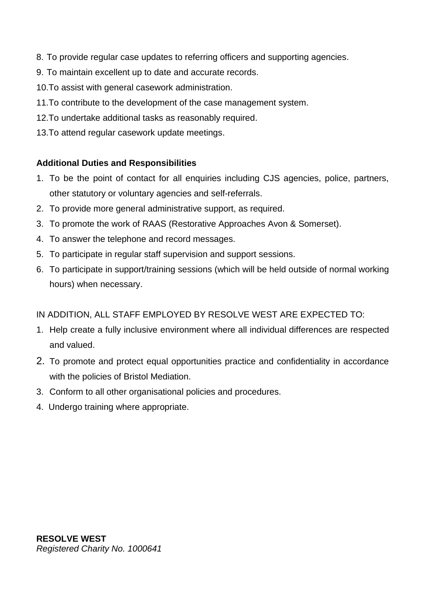- 8. To provide regular case updates to referring officers and supporting agencies.
- 9. To maintain excellent up to date and accurate records.
- 10.To assist with general casework administration.
- 11.To contribute to the development of the case management system.
- 12.To undertake additional tasks as reasonably required.
- 13.To attend regular casework update meetings.

## **Additional Duties and Responsibilities**

- 1. To be the point of contact for all enquiries including CJS agencies, police, partners, other statutory or voluntary agencies and self-referrals.
- 2. To provide more general administrative support, as required.
- 3. To promote the work of RAAS (Restorative Approaches Avon & Somerset).
- 4. To answer the telephone and record messages.
- 5. To participate in regular staff supervision and support sessions.
- 6. To participate in support/training sessions (which will be held outside of normal working hours) when necessary.

## IN ADDITION, ALL STAFF EMPLOYED BY RESOLVE WEST ARE EXPECTED TO:

- 1. Help create a fully inclusive environment where all individual differences are respected and valued.
- 2. To promote and protect equal opportunities practice and confidentiality in accordance with the policies of Bristol Mediation.
- 3. Conform to all other organisational policies and procedures.
- 4. Undergo training where appropriate.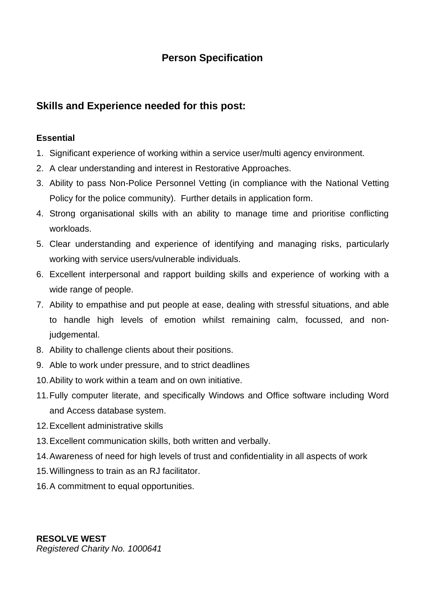# **Person Specification**

# **Skills and Experience needed for this post:**

## **Essential**

- 1. Significant experience of working within a service user/multi agency environment.
- 2. A clear understanding and interest in Restorative Approaches.
- 3. Ability to pass Non-Police Personnel Vetting (in compliance with the National Vetting Policy for the police community). Further details in application form.
- 4. Strong organisational skills with an ability to manage time and prioritise conflicting workloads.
- 5. Clear understanding and experience of identifying and managing risks, particularly working with service users/vulnerable individuals.
- 6. Excellent interpersonal and rapport building skills and experience of working with a wide range of people.
- 7. Ability to empathise and put people at ease, dealing with stressful situations, and able to handle high levels of emotion whilst remaining calm, focussed, and nonjudgemental.
- 8. Ability to challenge clients about their positions.
- 9. Able to work under pressure, and to strict deadlines
- 10.Ability to work within a team and on own initiative.
- 11.Fully computer literate, and specifically Windows and Office software including Word and Access database system.
- 12.Excellent administrative skills
- 13.Excellent communication skills, both written and verbally.
- 14.Awareness of need for high levels of trust and confidentiality in all aspects of work
- 15.Willingness to train as an RJ facilitator.
- 16.A commitment to equal opportunities.

**RESOLVE WEST** *Registered Charity No. 1000641*